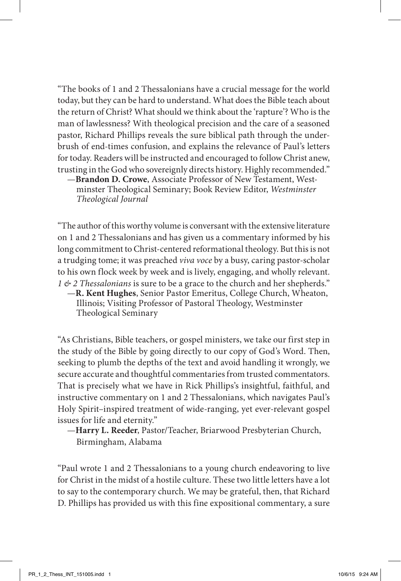"The books of 1 and 2 Thessalonians have a crucial message for the world today, but they can be hard to understand. What does the Bible teach about the return of Christ? What should we think about the 'rapture'? Who is the man of lawlessness? With theological precision and the care of a seasoned pastor, Richard Phillips reveals the sure biblical path through the underbrush of end-times confusion, and explains the relevance of Paul's letters for today. Readers will be instructed and encouraged to follow Christ anew, trusting in the God who sovereignly directs history. Highly recommended."

—**Brandon D. Crowe**, Associate Professor of New Testament, Westminster Theological Seminary; Book Review Editor, *Westminster Theological Journal*

"The author of this worthy volume is conversant with the extensive literature on 1 and 2 Thessalonians and has given us a commentary informed by his long commitment to Christ-centered reformational theology. But this is not a trudging tome; it was preached *viva voce* by a busy, caring pastor-scholar to his own flock week by week and is lively, engaging, and wholly relevant. *1 & 2 Thessalonians* is sure to be a grace to the church and her shepherds."

—**R. Kent Hughes**, Senior Pastor Emeritus, College Church, Wheaton, Illinois; Visiting Professor of Pastoral Theology, Westminster Theological Seminary

"As Christians, Bible teachers, or gospel ministers, we take our first step in the study of the Bible by going directly to our copy of God's Word. Then, seeking to plumb the depths of the text and avoid handling it wrongly, we secure accurate and thoughtful commentaries from trusted commentators. That is precisely what we have in Rick Phillips's insightful, faithful, and instructive commentary on 1 and 2 Thessalonians, which navigates Paul's Holy Spirit–inspired treatment of wide-ranging, yet ever-relevant gospel issues for life and eternity."

—**Harry L. Reeder**, Pastor/Teacher, Briarwood Presbyterian Church, Birmingham, Alabama

"Paul wrote 1 and 2 Thessalonians to a young church endeavoring to live for Christ in the midst of a hostile culture. These two little letters have a lot to say to the contemporary church. We may be grateful, then, that Richard D. Phillips has provided us with this fine expositional commentary, a sure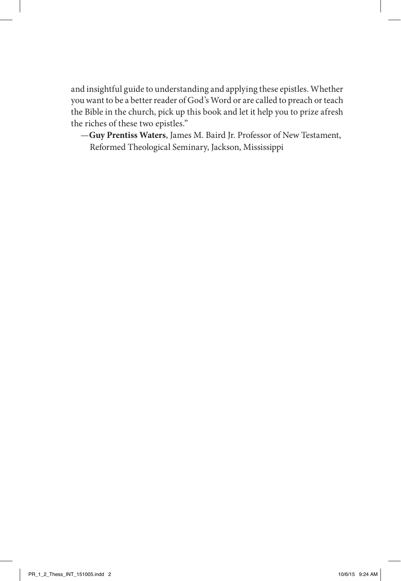and insightful guide to understanding and applying these epistles. Whether you want to be a better reader of God's Word or are called to preach or teach the Bible in the church, pick up this book and let it help you to prize afresh the riches of these two epistles."

—**Guy Prentiss Waters**, James M. Baird Jr. Professor of New Testament, Reformed Theological Seminary, Jackson, Mississippi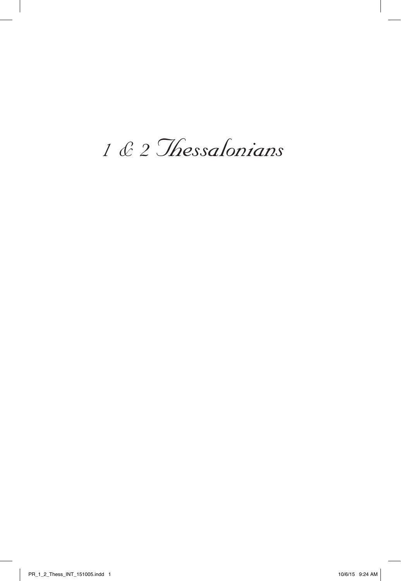*1 & 2 Thessalonians*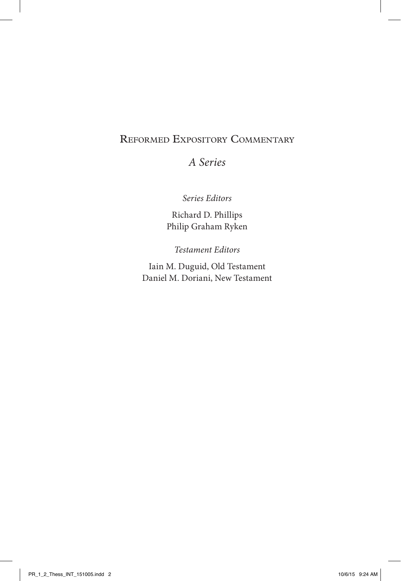### Reformed Expository Commentary

*A Series*

*Series Editors*

Richard D. Phillips Philip Graham Ryken

*Testament Editors*

Iain M. Duguid, Old Testament Daniel M. Doriani, New Testament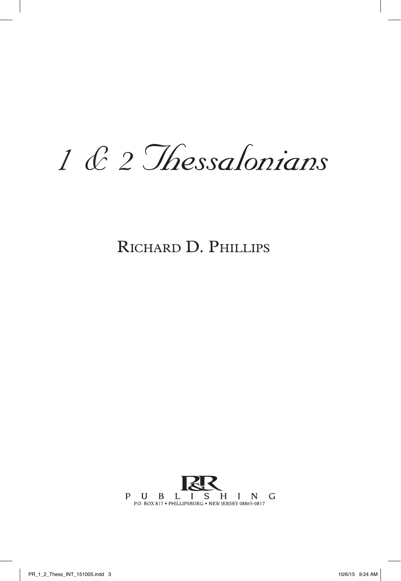*1 & 2 Thessalonians*

## Richard D. Phillips

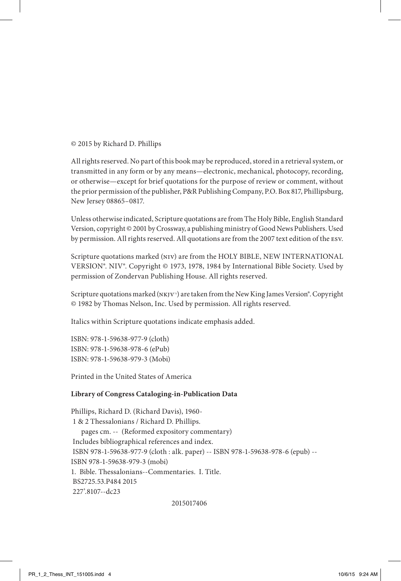© 2015 by Richard D. Phillips

All rights reserved. No part of this book may be reproduced, stored in a retrieval system, or transmitted in any form or by any means—electronic, mechanical, photocopy, recording, or otherwise—except for brief quotations for the purpose of review or comment, without the prior permission of the publisher, P&R Publishing Company, P.O. Box 817, Phillipsburg, New Jersey 08865–0817.

Unless otherwise indicated, Scripture quotations are from The Holy Bible, English Standard Version, copyright © 2001 by Crossway, a publishing ministry of Good News Publishers. Used by permission. All rights reserved. All quotations are from the 2007 text edition of the esv.

Scripture quotations marked (niv) are from the HOLY BIBLE, NEW INTERNATIONAL VERSION®. NIV®. Copyright © 1973, 1978, 1984 by International Bible Society. Used by permission of Zondervan Publishing House. All rights reserved.

Scripture quotations marked ( $N K y w$ ) are taken from the New King James Version<sup>®</sup>. Copyright © 1982 by Thomas Nelson, Inc. Used by permission. All rights reserved.

Italics within Scripture quotations indicate emphasis added.

ISBN: 978-1-59638-977-9 (cloth) ISBN: 978-1-59638-978-6 (ePub) ISBN: 978-1-59638-979-3 (Mobi)

Printed in the United States of America

### **Library of Congress Cataloging-in-Publication Data**

Phillips, Richard D. (Richard Davis), 1960- 1 & 2 Thessalonians / Richard D. Phillips. pages cm. -- (Reformed expository commentary) Includes bibliographical references and index. ISBN 978-1-59638-977-9 (cloth : alk. paper) -- ISBN 978-1-59638-978-6 (epub) -- ISBN 978-1-59638-979-3 (mobi) 1. Bible. Thessalonians--Commentaries. I. Title. BS2725.53.P484 2015 227'.8107--dc23

2015017406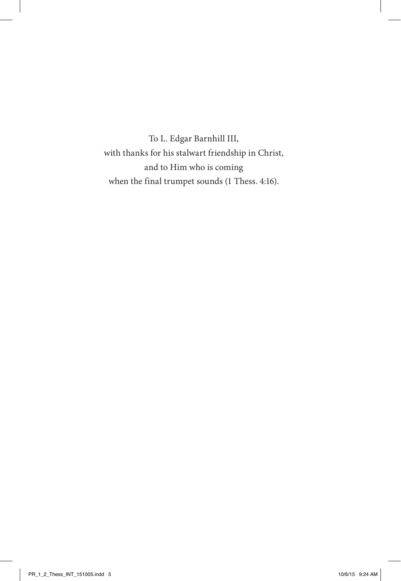To L. Edgar Barnhill III, with thanks for his stalwart friendship in Christ, and to Him who is coming when the final trumpet sounds (1 Thess. 4:16).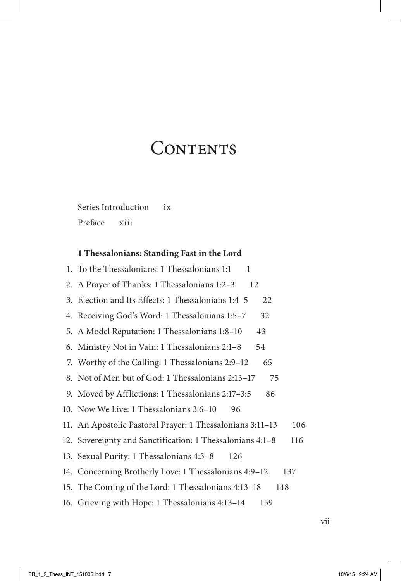# CONTENTS

 Series Introduction ix Preface xiii

### **1 Thessalonians: Standing Fast in the Lord**

| 1. To the Thessalonians: 1 Thessalonians 1:1<br>1                |
|------------------------------------------------------------------|
| 2. A Prayer of Thanks: 1 Thessalonians 1:2-3<br>12               |
| 3. Election and Its Effects: 1 Thessalonians 1:4-5<br>22         |
| 4. Receiving God's Word: 1 Thessalonians 1:5-7<br>32             |
| 5. A Model Reputation: 1 Thessalonians 1:8-10<br>43              |
| 6. Ministry Not in Vain: 1 Thessalonians 2:1-8<br>54             |
| 7. Worthy of the Calling: 1 Thessalonians 2:9-12<br>65           |
| 8. Not of Men but of God: 1 Thessalonians 2:13-17<br>75          |
| 9. Moved by Afflictions: 1 Thessalonians 2:17-3:5<br>86          |
| 10. Now We Live: 1 Thessalonians 3:6-10<br>96                    |
| 11. An Apostolic Pastoral Prayer: 1 Thessalonians 3:11-13<br>106 |
| 12. Sovereignty and Sanctification: 1 Thessalonians 4:1-8<br>116 |
| 13. Sexual Purity: 1 Thessalonians 4:3-8<br>126                  |
| 14. Concerning Brotherly Love: 1 Thessalonians 4:9-12<br>137     |
| 15. The Coming of the Lord: 1 Thessalonians 4:13-18<br>148       |
| 16. Grieving with Hope: 1 Thessalonians 4:13-14<br>159           |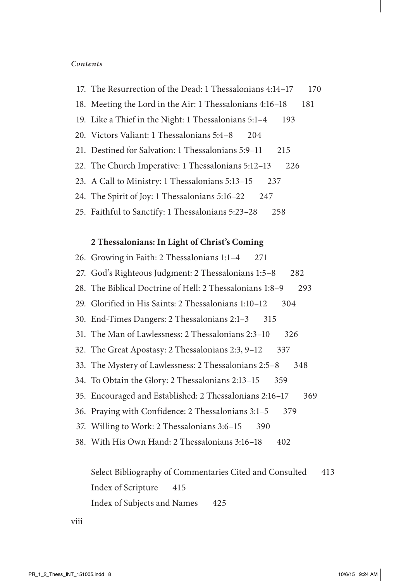### *Contents*

17. The Resurrection of the Dead: 1 Thessalonians 4:14–17 170

18. Meeting the Lord in the Air: 1 Thessalonians 4:16-18 181

- 19. Like a Thief in the Night: 1 Thessalonians 5:1–4 193
- 20. Victors Valiant: 1 Thessalonians 5:4–8 204
- 21. Destined for Salvation: 1 Thessalonians 5:9–11 215
- 22. The Church Imperative: 1 Thessalonians 5:12–13 226
- 23. A Call to Ministry: 1 Thessalonians 5:13–15 237
- 24. The Spirit of Joy: 1 Thessalonians 5:16–22 247
- 25. Faithful to Sanctify: 1 Thessalonians 5:23–28 258

#### **2 Thessalonians: In Light of Christ's Coming**

26. Growing in Faith: 2 Thessalonians 1:1–4 271 27. God's Righteous Judgment: 2 Thessalonians 1:5–8 282 28. The Biblical Doctrine of Hell: 2 Thessalonians 1:8–9 293 29. Glorified in His Saints: 2 Thessalonians 1:10–12 304 30. End-Times Dangers: 2 Thessalonians 2:1-3 315 31. The Man of Lawlessness: 2 Thessalonians 2:3–10 326 32. The Great Apostasy: 2 Thessalonians 2:3, 9–12 337 33. The Mystery of Lawlessness: 2 Thessalonians 2:5–8 348 34. To Obtain the Glory: 2 Thessalonians 2:13–15 359 35. Encouraged and Established: 2 Thessalonians 2:16–17 369 36. Praying with Confidence: 2 Thessalonians 3:1–5 379 37. Willing to Work: 2 Thessalonians 3:6–15 390 38. With His Own Hand: 2 Thessalonians 3:16–18 402

Select Bibliography of Commentaries Cited and Consulted 413 Index of Scripture 415 Index of Subjects and Names 425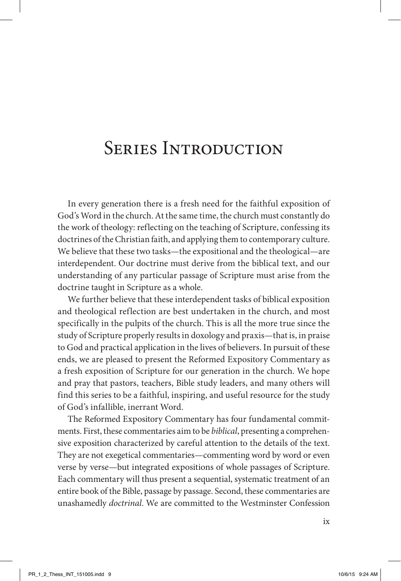# SERIES INTRODUCTION

In every generation there is a fresh need for the faithful exposition of God's Word in the church. At the same time, the church must constantly do the work of theology: reflecting on the teaching of Scripture, confessing its doctrines of the Christian faith, and applying them to contemporary culture. We believe that these two tasks—the expositional and the theological—are interdependent. Our doctrine must derive from the biblical text, and our understanding of any particular passage of Scripture must arise from the doctrine taught in Scripture as a whole.

We further believe that these interdependent tasks of biblical exposition and theological reflection are best undertaken in the church, and most specifically in the pulpits of the church. This is all the more true since the study of Scripture properly results in doxology and praxis—that is, in praise to God and practical application in the lives of believers. In pursuit of these ends, we are pleased to present the Reformed Expository Commentary as a fresh exposition of Scripture for our generation in the church. We hope and pray that pastors, teachers, Bible study leaders, and many others will find this series to be a faithful, inspiring, and useful resource for the study of God's infallible, inerrant Word.

The Reformed Expository Commentary has four fundamental commitments. First, these commentaries aim to be *biblical*, presenting a comprehensive exposition characterized by careful attention to the details of the text. They are not exegetical commentaries—commenting word by word or even verse by verse—but integrated expositions of whole passages of Scripture. Each commentary will thus present a sequential, systematic treatment of an entire book of the Bible, passage by passage. Second, these commentaries are unashamedly *doctrinal*. We are committed to the Westminster Confession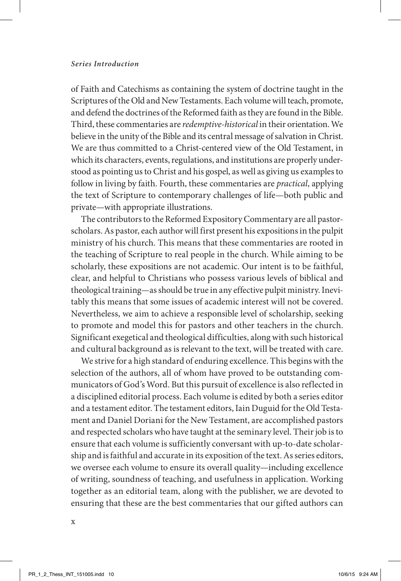#### *Series Introduction*

of Faith and Catechisms as containing the system of doctrine taught in the Scriptures of the Old and New Testaments. Each volume will teach, promote, and defend the doctrines of the Reformed faith as they are found in the Bible. Third, these commentaries are *redemptive-historical* in their orientation. We believe in the unity of the Bible and its central message of salvation in Christ. We are thus committed to a Christ-centered view of the Old Testament, in which its characters, events, regulations, and institutions are properly understood as pointing us to Christ and his gospel, as well as giving us examples to follow in living by faith. Fourth, these commentaries are *practical*, applying the text of Scripture to contemporary challenges of life—both public and private—with appropriate illustrations.

The contributors to the Reformed Expository Commentary are all pastorscholars. As pastor, each author will first present his expositions in the pulpit ministry of his church. This means that these commentaries are rooted in the teaching of Scripture to real people in the church. While aiming to be scholarly, these expositions are not academic. Our intent is to be faithful, clear, and helpful to Christians who possess various levels of biblical and theological training—as should be true in any effective pulpit ministry. Inevitably this means that some issues of academic interest will not be covered. Nevertheless, we aim to achieve a responsible level of scholarship, seeking to promote and model this for pastors and other teachers in the church. Significant exegetical and theological difficulties, along with such historical and cultural background as is relevant to the text, will be treated with care.

We strive for a high standard of enduring excellence. This begins with the selection of the authors, all of whom have proved to be outstanding communicators of God's Word. But this pursuit of excellence is also reflected in a disciplined editorial process. Each volume is edited by both a series editor and a testament editor. The testament editors, Iain Duguid for the Old Testament and Daniel Doriani for the New Testament, are accomplished pastors and respected scholars who have taught at the seminary level. Their job is to ensure that each volume is sufficiently conversant with up-to-date scholarship and is faithful and accurate in its exposition of the text. As series editors, we oversee each volume to ensure its overall quality—including excellence of writing, soundness of teaching, and usefulness in application. Working together as an editorial team, along with the publisher, we are devoted to ensuring that these are the best commentaries that our gifted authors can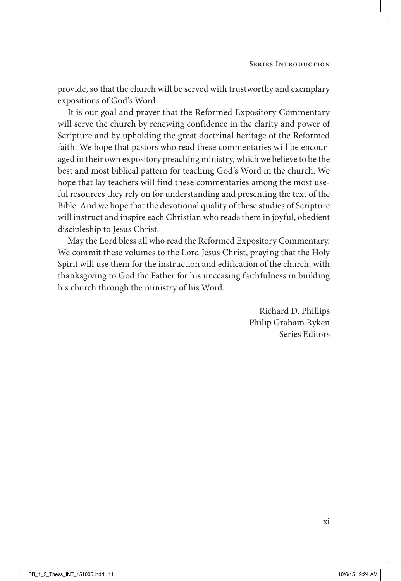provide, so that the church will be served with trustworthy and exemplary expositions of God's Word.

It is our goal and prayer that the Reformed Expository Commentary will serve the church by renewing confidence in the clarity and power of Scripture and by upholding the great doctrinal heritage of the Reformed faith. We hope that pastors who read these commentaries will be encouraged in their own expository preaching ministry, which we believe to be the best and most biblical pattern for teaching God's Word in the church. We hope that lay teachers will find these commentaries among the most useful resources they rely on for understanding and presenting the text of the Bible. And we hope that the devotional quality of these studies of Scripture will instruct and inspire each Christian who reads them in joyful, obedient discipleship to Jesus Christ.

May the Lord bless all who read the Reformed Expository Commentary. We commit these volumes to the Lord Jesus Christ, praying that the Holy Spirit will use them for the instruction and edification of the church, with thanksgiving to God the Father for his unceasing faithfulness in building his church through the ministry of his Word.

> Richard D. Phillips Philip Graham Ryken Series Editors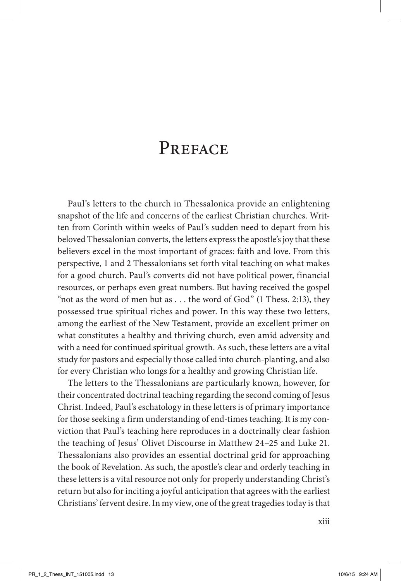## PREFACE

Paul's letters to the church in Thessalonica provide an enlightening snapshot of the life and concerns of the earliest Christian churches. Written from Corinth within weeks of Paul's sudden need to depart from his beloved Thessalonian converts, the letters express the apostle's joy that these believers excel in the most important of graces: faith and love. From this perspective, 1 and 2 Thessalonians set forth vital teaching on what makes for a good church. Paul's converts did not have political power, financial resources, or perhaps even great numbers. But having received the gospel "not as the word of men but as . . . the word of God" (1 Thess. 2:13), they possessed true spiritual riches and power. In this way these two letters, among the earliest of the New Testament, provide an excellent primer on what constitutes a healthy and thriving church, even amid adversity and with a need for continued spiritual growth. As such, these letters are a vital study for pastors and especially those called into church-planting, and also for every Christian who longs for a healthy and growing Christian life.

The letters to the Thessalonians are particularly known, however, for their concentrated doctrinal teaching regarding the second coming of Jesus Christ. Indeed, Paul's eschatology in these letters is of primary importance for those seeking a firm understanding of end-times teaching. It is my conviction that Paul's teaching here reproduces in a doctrinally clear fashion the teaching of Jesus' Olivet Discourse in Matthew 24–25 and Luke 21. Thessalonians also provides an essential doctrinal grid for approaching the book of Revelation. As such, the apostle's clear and orderly teaching in these letters is a vital resource not only for properly understanding Christ's return but also for inciting a joyful anticipation that agrees with the earliest Christians' fervent desire. In my view, one of the great tragedies today is that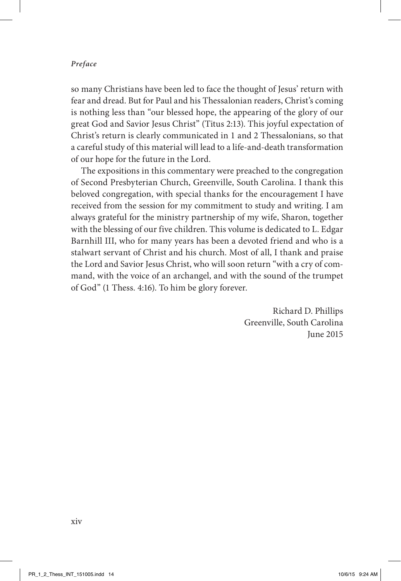### *Preface*

so many Christians have been led to face the thought of Jesus' return with fear and dread. But for Paul and his Thessalonian readers, Christ's coming is nothing less than "our blessed hope, the appearing of the glory of our great God and Savior Jesus Christ" (Titus 2:13). This joyful expectation of Christ's return is clearly communicated in 1 and 2 Thessalonians, so that a careful study of this material will lead to a life-and-death transformation of our hope for the future in the Lord.

The expositions in this commentary were preached to the congregation of Second Presbyterian Church, Greenville, South Carolina. I thank this beloved congregation, with special thanks for the encouragement I have received from the session for my commitment to study and writing. I am always grateful for the ministry partnership of my wife, Sharon, together with the blessing of our five children. This volume is dedicated to L. Edgar Barnhill III, who for many years has been a devoted friend and who is a stalwart servant of Christ and his church. Most of all, I thank and praise the Lord and Savior Jesus Christ, who will soon return "with a cry of command, with the voice of an archangel, and with the sound of the trumpet of God" (1 Thess. 4:16). To him be glory forever.

> Richard D. Phillips Greenville, South Carolina June 2015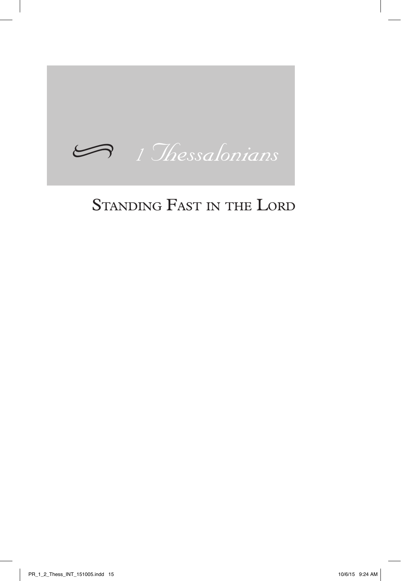

# STANDING FAST IN THE LORD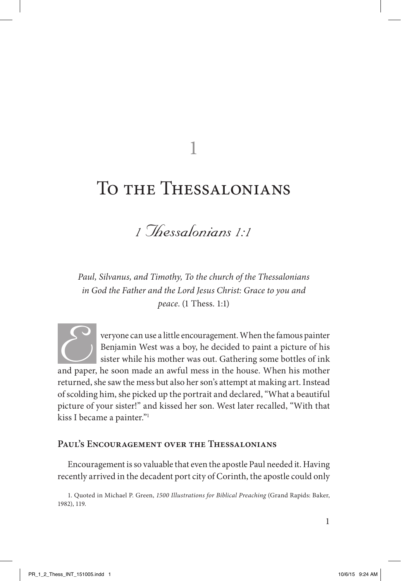## 1

# To the Thessalonians

## *1 Thessalonians 1:1*

*Paul, Silvanus, and Timothy, To the church of the Thessalonians in God the Father and the Lord Jesus Christ: Grace to you and peace*. (1 Thess. 1:1)



veryone can use a little encouragement. When the famous painter Benjamin West was a boy, he decided to paint a picture of his sister while his mother was out. Gathering some bottles of ink and paper, he soon made an awful mess in the house. When his mother returned, she saw the mess but also her son's attempt at making art. Instead of scolding him, she picked up the portrait and declared, "What a beautiful

picture of your sister!" and kissed her son. West later recalled, "With that kiss I became a painter."1

### **Paul's Encouragement over the Thessalonians**

Encouragement is so valuable that even the apostle Paul needed it. Having recently arrived in the decadent port city of Corinth, the apostle could only

1. Quoted in Michael P. Green, *1500 Illustrations for Biblical Preaching* (Grand Rapids: Baker, 1982), 119.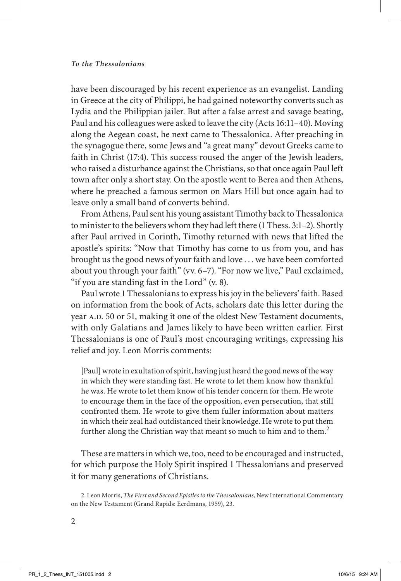have been discouraged by his recent experience as an evangelist. Landing in Greece at the city of Philippi, he had gained noteworthy converts such as Lydia and the Philippian jailer. But after a false arrest and savage beating, Paul and his colleagues were asked to leave the city (Acts 16:11–40). Moving along the Aegean coast, he next came to Thessalonica. After preaching in the synagogue there, some Jews and "a great many" devout Greeks came to faith in Christ (17:4). This success roused the anger of the Jewish leaders, who raised a disturbance against the Christians, so that once again Paul left town after only a short stay. On the apostle went to Berea and then Athens, where he preached a famous sermon on Mars Hill but once again had to leave only a small band of converts behind.

From Athens, Paul sent his young assistant Timothy back to Thessalonica to minister to the believers whom they had left there (1 Thess. 3:1–2). Shortly after Paul arrived in Corinth, Timothy returned with news that lifted the apostle's spirits: "Now that Timothy has come to us from you, and has brought us the good news of your faith and love . . . we have been comforted about you through your faith" (vv. 6–7). "For now we live," Paul exclaimed, "if you are standing fast in the Lord" (v. 8).

Paul wrote 1 Thessalonians to express his joy in the believers' faith. Based on information from the book of Acts, scholars date this letter during the year A.D. 50 or 51, making it one of the oldest New Testament documents, with only Galatians and James likely to have been written earlier. First Thessalonians is one of Paul's most encouraging writings, expressing his relief and joy. Leon Morris comments:

[Paul] wrote in exultation of spirit, having just heard the good news of the way in which they were standing fast. He wrote to let them know how thankful he was. He wrote to let them know of his tender concern for them. He wrote to encourage them in the face of the opposition, even persecution, that still confronted them. He wrote to give them fuller information about matters in which their zeal had outdistanced their knowledge. He wrote to put them further along the Christian way that meant so much to him and to them. $2$ 

These are matters in which we, too, need to be encouraged and instructed, for which purpose the Holy Spirit inspired 1 Thessalonians and preserved it for many generations of Christians.

2. Leon Morris, *The First and Second Epistles to the Thessalonians*, New International Commentary on the New Testament (Grand Rapids: Eerdmans, 1959), 23.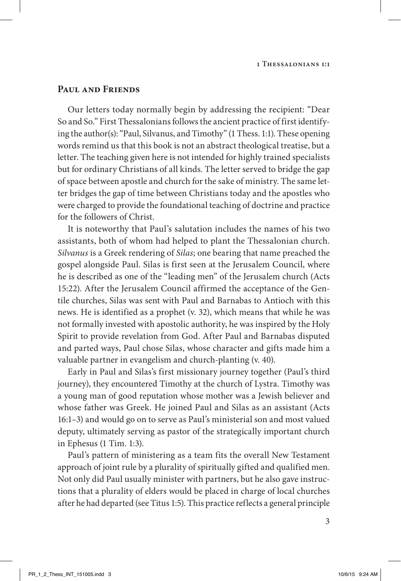### **Paul and Friends**

Our letters today normally begin by addressing the recipient: "Dear So and So." First Thessalonians follows the ancient practice of first identifying the author(s): "Paul, Silvanus, and Timothy" (1 Thess. 1:1). These opening words remind us that this book is not an abstract theological treatise, but a letter. The teaching given here is not intended for highly trained specialists but for ordinary Christians of all kinds. The letter served to bridge the gap of space between apostle and church for the sake of ministry. The same letter bridges the gap of time between Christians today and the apostles who were charged to provide the foundational teaching of doctrine and practice for the followers of Christ.

It is noteworthy that Paul's salutation includes the names of his two assistants, both of whom had helped to plant the Thessalonian church. *Silvanus* is a Greek rendering of *Silas*; one bearing that name preached the gospel alongside Paul. Silas is first seen at the Jerusalem Council, where he is described as one of the "leading men" of the Jerusalem church (Acts 15:22). After the Jerusalem Council affirmed the acceptance of the Gentile churches, Silas was sent with Paul and Barnabas to Antioch with this news. He is identified as a prophet (v. 32), which means that while he was not formally invested with apostolic authority, he was inspired by the Holy Spirit to provide revelation from God. After Paul and Barnabas disputed and parted ways, Paul chose Silas, whose character and gifts made him a valuable partner in evangelism and church-planting (v. 40).

Early in Paul and Silas's first missionary journey together (Paul's third journey), they encountered Timothy at the church of Lystra. Timothy was a young man of good reputation whose mother was a Jewish believer and whose father was Greek. He joined Paul and Silas as an assistant (Acts 16:1–3) and would go on to serve as Paul's ministerial son and most valued deputy, ultimately serving as pastor of the strategically important church in Ephesus (1 Tim. 1:3).

Paul's pattern of ministering as a team fits the overall New Testament approach of joint rule by a plurality of spiritually gifted and qualified men. Not only did Paul usually minister with partners, but he also gave instructions that a plurality of elders would be placed in charge of local churches after he had departed (see Titus 1:5). This practice reflects a general principle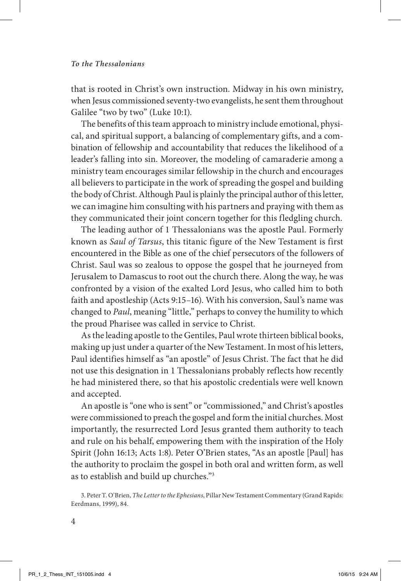that is rooted in Christ's own instruction. Midway in his own ministry, when Jesus commissioned seventy-two evangelists, he sent them throughout Galilee "two by two" (Luke 10:1).

The benefits of this team approach to ministry include emotional, physical, and spiritual support, a balancing of complementary gifts, and a combination of fellowship and accountability that reduces the likelihood of a leader's falling into sin. Moreover, the modeling of camaraderie among a ministry team encourages similar fellowship in the church and encourages all believers to participate in the work of spreading the gospel and building the body of Christ. Although Paul is plainly the principal author of this letter, we can imagine him consulting with his partners and praying with them as they communicated their joint concern together for this fledgling church.

The leading author of 1 Thessalonians was the apostle Paul. Formerly known as *Saul of Tarsus*, this titanic figure of the New Testament is first encountered in the Bible as one of the chief persecutors of the followers of Christ. Saul was so zealous to oppose the gospel that he journeyed from Jerusalem to Damascus to root out the church there. Along the way, he was confronted by a vision of the exalted Lord Jesus, who called him to both faith and apostleship (Acts 9:15–16). With his conversion, Saul's name was changed to *Paul*, meaning "little," perhaps to convey the humility to which the proud Pharisee was called in service to Christ.

As the leading apostle to the Gentiles, Paul wrote thirteen biblical books, making up just under a quarter of the New Testament. In most of his letters, Paul identifies himself as "an apostle" of Jesus Christ. The fact that he did not use this designation in 1 Thessalonians probably reflects how recently he had ministered there, so that his apostolic credentials were well known and accepted.

An apostle is "one who is sent" or "commissioned," and Christ's apostles were commissioned to preach the gospel and form the initial churches. Most importantly, the resurrected Lord Jesus granted them authority to teach and rule on his behalf, empowering them with the inspiration of the Holy Spirit (John 16:13; Acts 1:8). Peter O'Brien states, "As an apostle [Paul] has the authority to proclaim the gospel in both oral and written form, as well as to establish and build up churches."3

3. Peter T. O'Brien, *The Letter to the Ephesians*, Pillar New Testament Commentary (Grand Rapids: Eerdmans, 1999), 84.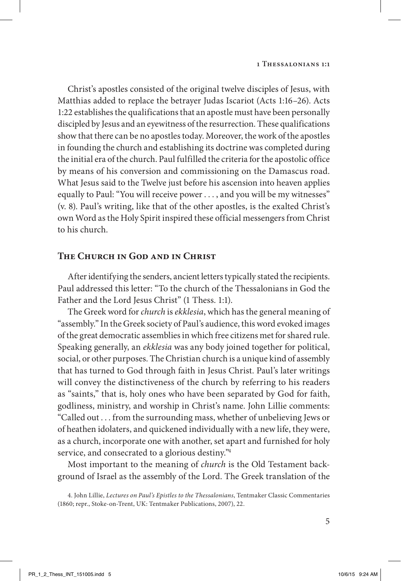Christ's apostles consisted of the original twelve disciples of Jesus, with Matthias added to replace the betrayer Judas Iscariot (Acts 1:16–26). Acts 1:22 establishes the qualifications that an apostle must have been personally discipled by Jesus and an eyewitness of the resurrection. These qualifications show that there can be no apostles today. Moreover, the work of the apostles in founding the church and establishing its doctrine was completed during the initial era of the church. Paul fulfilled the criteria for the apostolic office by means of his conversion and commissioning on the Damascus road. What Jesus said to the Twelve just before his ascension into heaven applies equally to Paul: "You will receive power . . . , and you will be my witnesses" (v. 8). Paul's writing, like that of the other apostles, is the exalted Christ's own Word as the Holy Spirit inspired these official messengers from Christ to his church.

### **The Church in God and in Christ**

After identifying the senders, ancient letters typically stated the recipients. Paul addressed this letter: "To the church of the Thessalonians in God the Father and the Lord Jesus Christ" (1 Thess. 1:1).

The Greek word for *church* is *ekklesia*, which has the general meaning of "assembly." In the Greek society of Paul's audience, this word evoked images of the great democratic assemblies in which free citizens met for shared rule. Speaking generally, an *ekklesia* was any body joined together for political, social, or other purposes. The Christian church is a unique kind of assembly that has turned to God through faith in Jesus Christ. Paul's later writings will convey the distinctiveness of the church by referring to his readers as "saints," that is, holy ones who have been separated by God for faith, godliness, ministry, and worship in Christ's name. John Lillie comments: "Called out . . . from the surrounding mass, whether of unbelieving Jews or of heathen idolaters, and quickened individually with a new life, they were, as a church, incorporate one with another, set apart and furnished for holy service, and consecrated to a glorious destiny."4

Most important to the meaning of *church* is the Old Testament background of Israel as the assembly of the Lord. The Greek translation of the

<sup>4.</sup> John Lillie, *Lectures on Paul's Epistles to the Thessalonians*, Tentmaker Classic Commentaries (1860; repr., Stoke-on-Trent, UK: Tentmaker Publications, 2007), 22.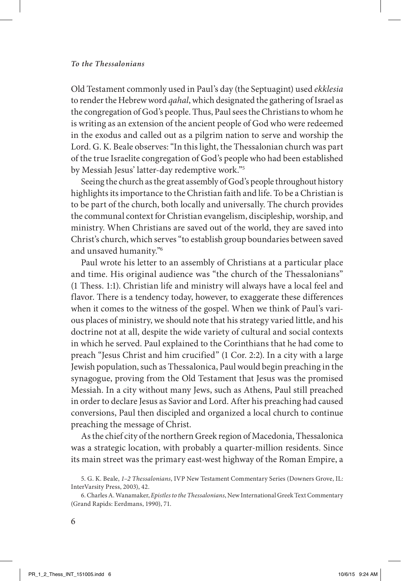Old Testament commonly used in Paul's day (the Septuagint) used *ekklesia* to render the Hebrew word *qahal*, which designated the gathering of Israel as the congregation of God's people. Thus, Paul sees the Christians to whom he is writing as an extension of the ancient people of God who were redeemed in the exodus and called out as a pilgrim nation to serve and worship the Lord. G. K. Beale observes: "In this light, the Thessalonian church was part of the true Israelite congregation of God's people who had been established by Messiah Jesus' latter-day redemptive work."5

Seeing the church as the great assembly of God's people throughout history highlights its importance to the Christian faith and life. To be a Christian is to be part of the church, both locally and universally. The church provides the communal context for Christian evangelism, discipleship, worship, and ministry. When Christians are saved out of the world, they are saved into Christ's church, which serves "to establish group boundaries between saved and unsaved humanity."6

Paul wrote his letter to an assembly of Christians at a particular place and time. His original audience was "the church of the Thessalonians" (1 Thess. 1:1). Christian life and ministry will always have a local feel and flavor. There is a tendency today, however, to exaggerate these differences when it comes to the witness of the gospel. When we think of Paul's various places of ministry, we should note that his strategy varied little, and his doctrine not at all, despite the wide variety of cultural and social contexts in which he served. Paul explained to the Corinthians that he had come to preach "Jesus Christ and him crucified" (1 Cor. 2:2). In a city with a large Jewish population, such as Thessalonica, Paul would begin preaching in the synagogue, proving from the Old Testament that Jesus was the promised Messiah. In a city without many Jews, such as Athens, Paul still preached in order to declare Jesus as Savior and Lord. After his preaching had caused conversions, Paul then discipled and organized a local church to continue preaching the message of Christ.

As the chief city of the northern Greek region of Macedonia, Thessalonica was a strategic location, with probably a quarter-million residents. Since its main street was the primary east-west highway of the Roman Empire, a

<sup>5.</sup> G. K. Beale, *1–2 Thessalonians*, IVP New Testament Commentary Series (Downers Grove, IL: InterVarsity Press, 2003), 42.

<sup>6.</sup> Charles A. Wanamaker, *Epistles to the Thessalonians*, New International Greek Text Commentary (Grand Rapids: Eerdmans, 1990), 71.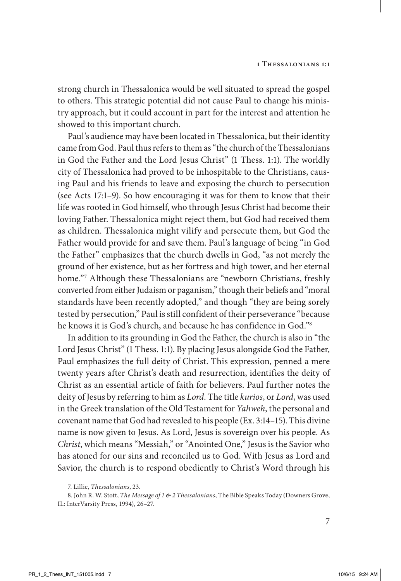strong church in Thessalonica would be well situated to spread the gospel to others. This strategic potential did not cause Paul to change his ministry approach, but it could account in part for the interest and attention he showed to this important church.

Paul's audience may have been located in Thessalonica, but their identity came from God. Paul thus refers to them as "the church of the Thessalonians in God the Father and the Lord Jesus Christ" (1 Thess. 1:1). The worldly city of Thessalonica had proved to be inhospitable to the Christians, causing Paul and his friends to leave and exposing the church to persecution (see Acts 17:1–9). So how encouraging it was for them to know that their life was rooted in God himself, who through Jesus Christ had become their loving Father. Thessalonica might reject them, but God had received them as children. Thessalonica might vilify and persecute them, but God the Father would provide for and save them. Paul's language of being "in God the Father" emphasizes that the church dwells in God, "as not merely the ground of her existence, but as her fortress and high tower, and her eternal home."7 Although these Thessalonians are "newborn Christians, freshly converted from either Judaism or paganism," though their beliefs and "moral standards have been recently adopted," and though "they are being sorely tested by persecution," Paul is still confident of their perseverance "because he knows it is God's church, and because he has confidence in God."8

In addition to its grounding in God the Father, the church is also in "the Lord Jesus Christ" (1 Thess. 1:1). By placing Jesus alongside God the Father, Paul emphasizes the full deity of Christ. This expression, penned a mere twenty years after Christ's death and resurrection, identifies the deity of Christ as an essential article of faith for believers. Paul further notes the deity of Jesus by referring to him as *Lord*. The title *kurios*, or *Lord*, was used in the Greek translation of the Old Testament for *Yahweh*, the personal and covenant name that God had revealed to his people (Ex. 3:14–15). This divine name is now given to Jesus. As Lord, Jesus is sovereign over his people. As *Christ*, which means "Messiah," or "Anointed One," Jesus is the Savior who has atoned for our sins and reconciled us to God. With Jesus as Lord and Savior, the church is to respond obediently to Christ's Word through his

<sup>7.</sup> Lillie, *Thessalonians*, 23.

<sup>8.</sup> John R. W. Stott, *The Message of 1 & 2 Thessalonians*, The Bible Speaks Today (Downers Grove, IL: InterVarsity Press, 1994), 26–27.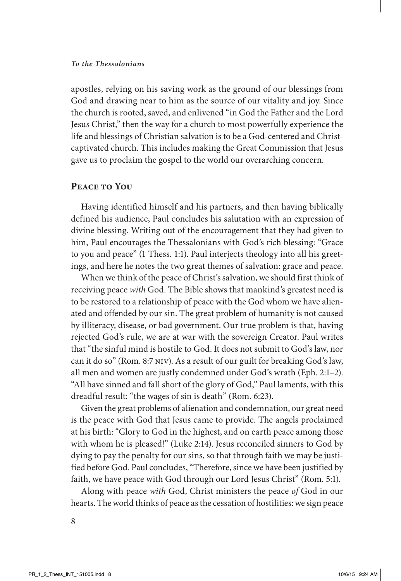apostles, relying on his saving work as the ground of our blessings from God and drawing near to him as the source of our vitality and joy. Since the church is rooted, saved, and enlivened "in God the Father and the Lord Jesus Christ," then the way for a church to most powerfully experience the life and blessings of Christian salvation is to be a God-centered and Christcaptivated church. This includes making the Great Commission that Jesus gave us to proclaim the gospel to the world our overarching concern.

### **Peace to You**

Having identified himself and his partners, and then having biblically defined his audience, Paul concludes his salutation with an expression of divine blessing. Writing out of the encouragement that they had given to him, Paul encourages the Thessalonians with God's rich blessing: "Grace to you and peace" (1 Thess. 1:1). Paul interjects theology into all his greetings, and here he notes the two great themes of salvation: grace and peace.

When we think of the peace of Christ's salvation, we should first think of receiving peace *with* God. The Bible shows that mankind's greatest need is to be restored to a relationship of peace with the God whom we have alienated and offended by our sin. The great problem of humanity is not caused by illiteracy, disease, or bad government. Our true problem is that, having rejected God's rule, we are at war with the sovereign Creator. Paul writes that "the sinful mind is hostile to God. It does not submit to God's law, nor can it do so" (Rom. 8:7 niv). As a result of our guilt for breaking God's law, all men and women are justly condemned under God's wrath (Eph. 2:1–2). "All have sinned and fall short of the glory of God," Paul laments, with this dreadful result: "the wages of sin is death" (Rom. 6:23).

Given the great problems of alienation and condemnation, our great need is the peace with God that Jesus came to provide. The angels proclaimed at his birth: "Glory to God in the highest, and on earth peace among those with whom he is pleased!" (Luke 2:14). Jesus reconciled sinners to God by dying to pay the penalty for our sins, so that through faith we may be justified before God. Paul concludes, "Therefore, since we have been justified by faith, we have peace with God through our Lord Jesus Christ" (Rom. 5:1).

Along with peace *with* God, Christ ministers the peace *of* God in our hearts. The world thinks of peace as the cessation of hostilities: we sign peace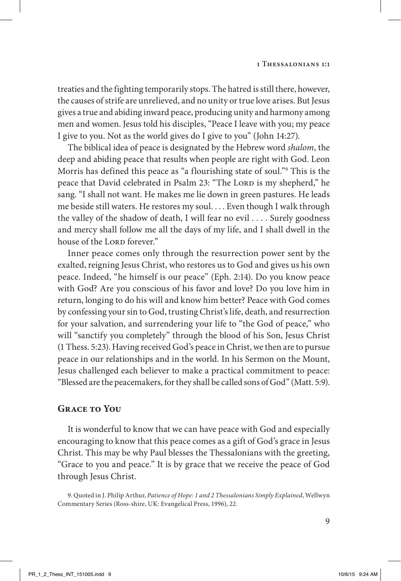treaties and the fighting temporarily stops. The hatred is still there, however, the causes of strife are unrelieved, and no unity or true love arises. But Jesus gives a true and abiding inward peace, producing unity and harmony among men and women. Jesus told his disciples, "Peace I leave with you; my peace I give to you. Not as the world gives do I give to you" (John 14:27).

The biblical idea of peace is designated by the Hebrew word *shalom*, the deep and abiding peace that results when people are right with God. Leon Morris has defined this peace as "a flourishing state of soul."9 This is the peace that David celebrated in Psalm 23: "The LORD is my shepherd," he sang. "I shall not want. He makes me lie down in green pastures. He leads me beside still waters. He restores my soul. . . . Even though I walk through the valley of the shadow of death, I will fear no evil . . . . Surely goodness and mercy shall follow me all the days of my life, and I shall dwell in the house of the LORD forever."

Inner peace comes only through the resurrection power sent by the exalted, reigning Jesus Christ, who restores us to God and gives us his own peace. Indeed, "he himself is our peace" (Eph. 2:14). Do you know peace with God? Are you conscious of his favor and love? Do you love him in return, longing to do his will and know him better? Peace with God comes by confessing your sin to God, trusting Christ's life, death, and resurrection for your salvation, and surrendering your life to "the God of peace," who will "sanctify you completely" through the blood of his Son, Jesus Christ (1 Thess. 5:23). Having received God's peace in Christ, we then are to pursue peace in our relationships and in the world. In his Sermon on the Mount, Jesus challenged each believer to make a practical commitment to peace: "Blessed are the peacemakers, for they shall be called sons of God" (Matt. 5:9).

### **Grace to You**

It is wonderful to know that we can have peace with God and especially encouraging to know that this peace comes as a gift of God's grace in Jesus Christ. This may be why Paul blesses the Thessalonians with the greeting, "Grace to you and peace." It is by grace that we receive the peace of God through Jesus Christ.

<sup>9.</sup> Quoted in J. Philip Arthur, *Patience of Hope: 1 and 2 Thessalonians Simply Explained*, Wellwyn Commentary Series (Ross-shire, UK: Evangelical Press, 1996), 22.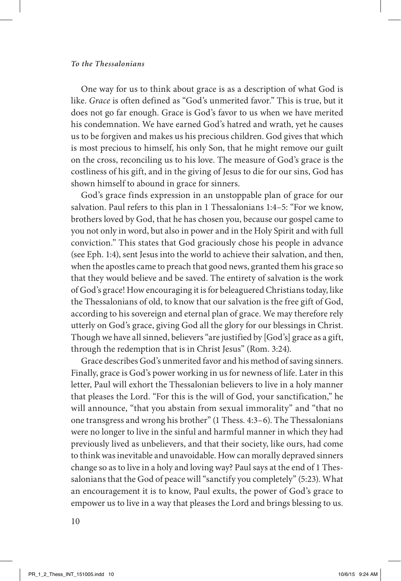#### *To the Thessalonians*

One way for us to think about grace is as a description of what God is like. *Grace* is often defined as "God's unmerited favor." This is true, but it does not go far enough. Grace is God's favor to us when we have merited his condemnation. We have earned God's hatred and wrath, yet he causes us to be forgiven and makes us his precious children. God gives that which is most precious to himself, his only Son, that he might remove our guilt on the cross, reconciling us to his love. The measure of God's grace is the costliness of his gift, and in the giving of Jesus to die for our sins, God has shown himself to abound in grace for sinners.

God's grace finds expression in an unstoppable plan of grace for our salvation. Paul refers to this plan in 1 Thessalonians 1:4–5: "For we know, brothers loved by God, that he has chosen you, because our gospel came to you not only in word, but also in power and in the Holy Spirit and with full conviction." This states that God graciously chose his people in advance (see Eph. 1:4), sent Jesus into the world to achieve their salvation, and then, when the apostles came to preach that good news, granted them his grace so that they would believe and be saved. The entirety of salvation is the work of God's grace! How encouraging it is for beleaguered Christians today, like the Thessalonians of old, to know that our salvation is the free gift of God, according to his sovereign and eternal plan of grace. We may therefore rely utterly on God's grace, giving God all the glory for our blessings in Christ. Though we have all sinned, believers "are justified by [God's] grace as a gift, through the redemption that is in Christ Jesus" (Rom. 3:24).

Grace describes God's unmerited favor and his method of saving sinners. Finally, grace is God's power working in us for newness of life. Later in this letter, Paul will exhort the Thessalonian believers to live in a holy manner that pleases the Lord. "For this is the will of God, your sanctification," he will announce, "that you abstain from sexual immorality" and "that no one transgress and wrong his brother" (1 Thess. 4:3–6). The Thessalonians were no longer to live in the sinful and harmful manner in which they had previously lived as unbelievers, and that their society, like ours, had come to think was inevitable and unavoidable. How can morally depraved sinners change so as to live in a holy and loving way? Paul says at the end of 1 Thessalonians that the God of peace will "sanctify you completely" (5:23). What an encouragement it is to know, Paul exults, the power of God's grace to empower us to live in a way that pleases the Lord and brings blessing to us.